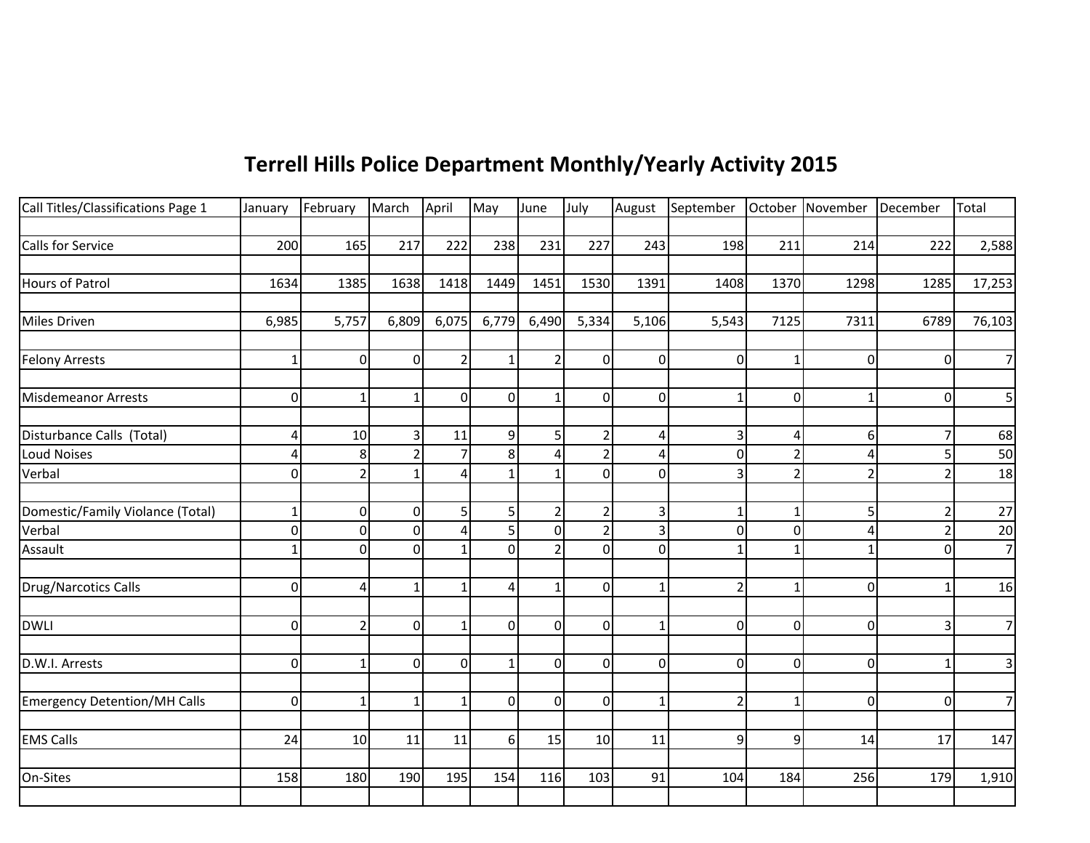## **Terrell Hills Police Department Monthly/Yearly Activity 2015**

| Call Titles/Classifications Page 1  | January                 | February       | March          | April          | May         | June           | July           |                | August September October November December |                |          |          | Total          |
|-------------------------------------|-------------------------|----------------|----------------|----------------|-------------|----------------|----------------|----------------|--------------------------------------------|----------------|----------|----------|----------------|
|                                     |                         |                |                |                |             |                |                |                |                                            |                |          |          |                |
| Calls for Service                   | 200                     | 165            | 217            | 222            | 238         | 231            | 227            | 243            | 198                                        | 211            | 214      | 222      | 2,588          |
|                                     |                         |                |                |                |             |                |                |                |                                            |                |          |          |                |
| Hours of Patrol                     | 1634                    | 1385           | 1638           | 1418           | 1449        | 1451           | 1530           | 1391           | 1408                                       | 1370           | 1298     | 1285     | 17,253         |
|                                     |                         |                |                |                |             |                |                |                |                                            |                |          |          |                |
| Miles Driven                        | 6,985                   | 5,757          | 6,809          | 6,075          | 6,779       | 6,490          | 5,334          | 5,106          | 5,543                                      | 7125           | 7311     | 6789     | 76,103         |
|                                     |                         |                |                |                |             |                |                |                |                                            |                |          |          |                |
| <b>Felony Arrests</b>               | $\mathbf{1}$            | $\overline{0}$ | $\Omega$       | $\overline{2}$ | -1          | 2 <sup>1</sup> | $\Omega$       | $\overline{0}$ | $\Omega$                                   | $\mathbf{1}$   | $\Omega$ | $\Omega$ | $\overline{7}$ |
|                                     |                         |                |                |                |             |                |                |                |                                            |                |          |          |                |
| <b>Misdemeanor Arrests</b>          | $\mathbf 0$             | $\mathbf{1}$   | $\mathbf{1}$   | $\overline{0}$ | $\Omega$    | $\mathbf{1}$   | $\Omega$       | $\overline{0}$ |                                            | $\overline{0}$ |          | 0        | 5              |
|                                     |                         |                |                |                |             |                |                |                |                                            |                |          |          |                |
| Disturbance Calls (Total)           | $\overline{\mathbf{r}}$ | 10             | 3              | 11             | 9           | 5              | $\overline{2}$ | 4              | 3                                          | 4              | 6        | 7        | 68             |
| <b>Loud Noises</b>                  | 4                       | 8              |                |                | 8           | 4              |                | 4              | 0                                          | 2              |          |          | 50             |
| Verbal                              | $\mathbf 0$             | $\overline{2}$ | $\mathbf{1}$   |                |             | $\mathbf{1}$   | $\Omega$       | 0              |                                            | $\overline{2}$ |          |          | 18             |
|                                     |                         |                |                |                |             |                |                |                |                                            |                |          |          |                |
| Domestic/Family Violance (Total)    | $\mathbf 1$             | $\mathbf 0$    | 0              | 5              | 5           | $\overline{2}$ |                | 3              |                                            | 1              | 5        |          | 27             |
| Verbal                              | $\mathbf 0$             | $\Omega$       | $\Omega$       | Δ              | 5           | $\overline{0}$ |                | 3              | $\Omega$                                   | $\mathbf 0$    |          |          | 20             |
| Assault                             | $\mathbf 1$             | $\Omega$       | $\overline{0}$ |                | $\Omega$    | 2 <sup>1</sup> | $\Omega$       | $\overline{0}$ |                                            | $\mathbf{1}$   |          | $\Omega$ | $\overline{7}$ |
|                                     |                         |                |                |                |             |                |                |                |                                            |                |          |          |                |
| Drug/Narcotics Calls                | $\mathbf 0$             | 4              | $\mathbf{1}$   | $\mathbf{1}$   | $\Delta$    | $\mathbf{1}$   | $\Omega$       | $\mathbf 1$    | $\overline{2}$                             | $\mathbf{1}$   | $\Omega$ |          | 16             |
|                                     |                         |                |                |                |             |                |                |                |                                            |                |          |          |                |
| <b>DWLI</b>                         | $\mathbf 0$             | $\overline{2}$ | $\Omega$       | 1              | $\Omega$    | $\Omega$       | $\Omega$       | $\mathbf{1}$   | $\Omega$                                   | $\Omega$       | $\Omega$ | 3        | $\overline{7}$ |
|                                     |                         |                |                |                |             |                |                |                |                                            |                |          |          |                |
| D.W.I. Arrests                      | $\boldsymbol{0}$        | $\mathbf{1}$   | $\mathbf 0$    | $\overline{0}$ | $\mathbf 1$ | $\overline{0}$ | $\overline{0}$ | $\overline{0}$ | $\overline{0}$                             | $\overline{0}$ | $\Omega$ |          | 3              |
|                                     | $\overline{0}$          | $\mathbf{1}$   |                | 1              | $\Omega$    | $\overline{0}$ | $\mathbf 0$    | 1              | 2                                          | $\mathbf{1}$   | 0        | 0        | $\overline{7}$ |
| <b>Emergency Detention/MH Calls</b> |                         |                | 1              |                |             |                |                |                |                                            |                |          |          |                |
| <b>EMS Calls</b>                    | 24                      | 10             | 11             | 11             | 6           | 15             | 10             | 11             | 9                                          | 9              | 14       | 17       | 147            |
|                                     |                         |                |                |                |             |                |                |                |                                            |                |          |          |                |
| On-Sites                            | 158                     | 180            | 190            | 195            | 154         | 116            | 103            | 91             | 104                                        | 184            | 256      | 179      | 1,910          |
|                                     |                         |                |                |                |             |                |                |                |                                            |                |          |          |                |
|                                     |                         |                |                |                |             |                |                |                |                                            |                |          |          |                |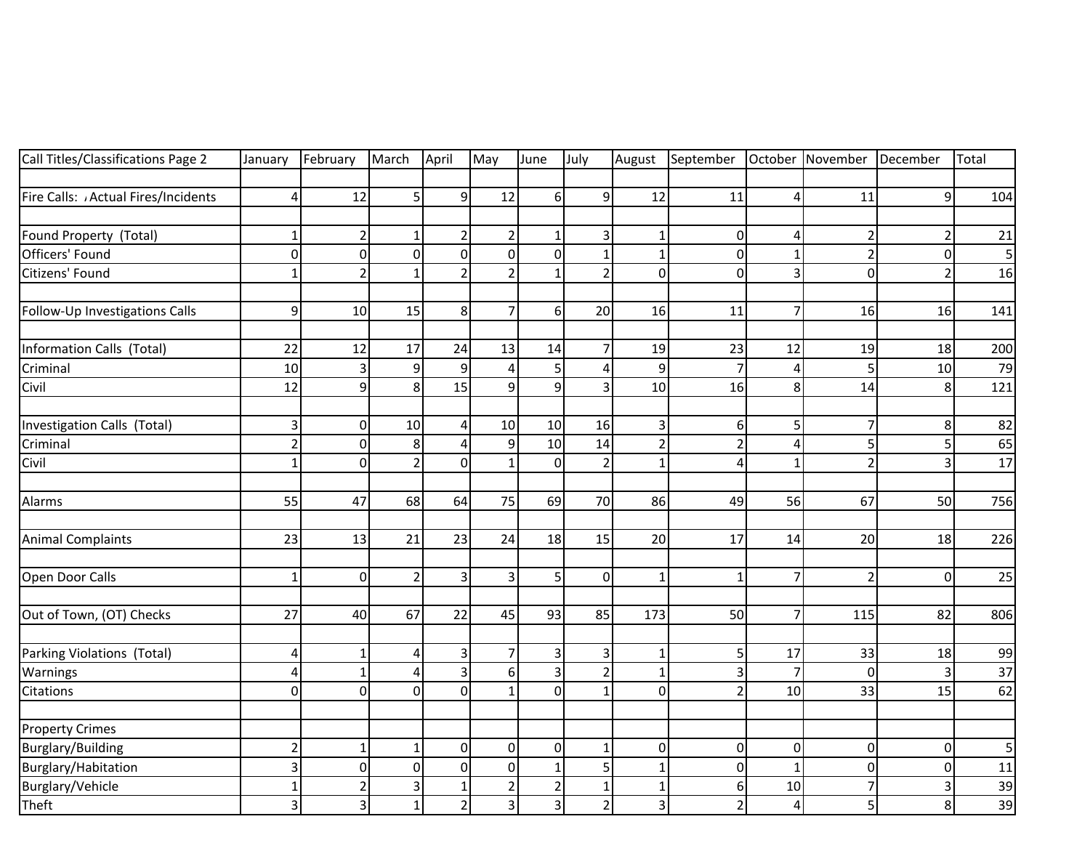| Call Titles/Classifications Page 2 | January                 | February       | March          | April          | May                     | June             | July           | August         | September               |                | October November December |                | Total |
|------------------------------------|-------------------------|----------------|----------------|----------------|-------------------------|------------------|----------------|----------------|-------------------------|----------------|---------------------------|----------------|-------|
|                                    |                         |                |                |                |                         |                  |                |                |                         |                |                           |                |       |
| Fire Calls: Actual Fires/Incidents | $\overline{a}$          | 12             | 5              | 9              | 12                      | $6 \overline{6}$ | $\overline{9}$ | 12             | 11                      | $\overline{4}$ | 11                        | 9              | 104   |
|                                    |                         |                |                |                |                         |                  |                |                |                         |                |                           |                |       |
| Found Property (Total)             | $\mathbf 1$             | $\overline{2}$ | $\mathbf 1$    | 2              | $\overline{2}$          | $\mathbf{1}$     | 3              | $\mathbf 1$    | $\pmb{0}$               | 4              |                           | $\overline{2}$ | 21    |
| Officers' Found                    | $\mathbf 0$             | $\mathbf 0$    | $\mathbf 0$    | $\mathbf 0$    | $\overline{0}$          | $\mathbf 0$      | $\mathbf{1}$   | $\mathbf{1}$   | $\mathbf 0$             | $\mathbf{1}$   | $\overline{c}$            | $\mathbf 0$    | 5     |
| Citizens' Found                    | $\mathbf 1$             | $\overline{2}$ | $\mathbf{1}$   | $\overline{2}$ | $\overline{2}$          | $\mathbf{1}$     | $\overline{2}$ | $\mathbf 0$    | $\overline{0}$          | $\overline{3}$ | $\Omega$                  | $\overline{2}$ | 16    |
| Follow-Up Investigations Calls     | 9                       | 10             | 15             | 8              | $\overline{7}$          | 6                | 20             | 16             | 11                      | $\overline{7}$ | 16                        | 16             | 141   |
| Information Calls (Total)          | 22                      | 12             | 17             | 24             | 13                      | 14               | $\overline{7}$ | 19             | 23                      | 12             | 19                        | 18             | 200   |
| Criminal                           | 10                      | $\overline{3}$ | 9              | 9              | 4                       | 5                | 4              | 9              | $\overline{7}$          | $\overline{4}$ |                           | 10             | 79    |
| Civil                              | 12                      | 9              | 8              | 15             | $\overline{9}$          | 9                | 3              | 10             | 16                      | 8 <sup>1</sup> | 14                        | 8              | 121   |
| Investigation Calls (Total)        | 3                       | $\mathbf 0$    | 10             | 4              | 10                      | 10               | 16             | 3              | 6                       | 5              |                           | 8              | 82    |
| Criminal                           | $\overline{2}$          | $\overline{0}$ | 8              | 4              | 9                       | 10               | 14             | $\overline{2}$ | $\overline{2}$          | $\overline{4}$ | 5                         | 5              | 65    |
| Civil                              | $\mathbf 1$             | $\mathbf 0$    | $\overline{2}$ | $\Omega$       | 1                       | $\mathbf 0$      | $\overline{2}$ | $\mathbf 1$    | $\overline{4}$          | $\mathbf{1}$   | $\overline{\mathbf{z}}$   | 3              | 17    |
| Alarms                             | 55                      | 47             | 68             | 64             | 75                      | 69               | 70             | 86             | 49                      | 56             | 67                        | 50             | 756   |
| <b>Animal Complaints</b>           | 23                      | 13             | 21             | 23             | 24                      | 18               | 15             | 20             | 17                      | 14             | 20                        | 18             | 226   |
| Open Door Calls                    | $\mathbf 1$             | $\overline{0}$ | $\overline{2}$ | 3              | $\overline{\mathbf{3}}$ | 5                | $\pmb{0}$      | $\mathbf{1}$   | 1                       | $\overline{7}$ | $\overline{2}$            | $\mathbf 0$    | 25    |
| Out of Town, (OT) Checks           | 27                      | 40             | 67             | 22             | 45                      | 93               | 85             | 173            | 50                      | $\overline{7}$ | 115                       | 82             | 806   |
| Parking Violations (Total)         | $\overline{\mathbf{r}}$ | $\mathbf{1}$   | 4              | 3              | 7                       | 3                | 3              | $\mathbf 1$    | $\overline{5}$          | 17             | 33                        | 18             | 99    |
| Warnings                           | $\overline{\mathbf{4}}$ | $\mathbf{1}$   | 4              | 3              | $6 \mid$                | 3                | $\overline{2}$ | $\mathbf 1$    | $\overline{\mathbf{3}}$ | $\overline{7}$ | $\Omega$                  | 3              | 37    |
| Citations                          | $\mathbf 0$             | $\Omega$       | $\Omega$       | $\Omega$       | 1                       | $\Omega$         | $\mathbf{1}$   | $\mathbf 0$    | $\overline{2}$          | 10             | 33                        | 15             | 62    |
| <b>Property Crimes</b>             |                         |                |                |                |                         |                  |                |                |                         |                |                           |                |       |
| <b>Burglary/Building</b>           | $\mathbf 2$             | $\mathbf{1}$   | $\mathbf{1}$   | $\Omega$       | $\overline{0}$          | $\mathbf 0$      | $\mathbf{1}$   | $\mathbf 0$    | $\pmb{0}$               | $\Omega$       | $\Omega$                  | 0              | 5     |
| Burglary/Habitation                | $\overline{3}$          | $\mathbf 0$    | $\mathbf 0$    | $\Omega$       | $\overline{0}$          | $\mathbf{1}$     | 5              | $\mathbf 1$    | $\mathbf 0$             | $\mathbf{1}$   | $\Omega$                  | $\overline{0}$ | 11    |
| Burglary/Vehicle                   | $\mathbf 1$             | $\overline{2}$ | 3              | 1              | $\overline{2}$          | 2                | $\mathbf{1}$   | $\mathbf{1}$   | 6                       | 10             |                           | 3              | 39    |
| Theft                              | $\overline{\mathbf{3}}$ | 3              | $\mathbf{1}$   | $\overline{2}$ | $\overline{\mathbf{3}}$ | 3                | $\overline{2}$ | $\overline{3}$ | $\overline{2}$          | 4              | 5                         | 8              | 39    |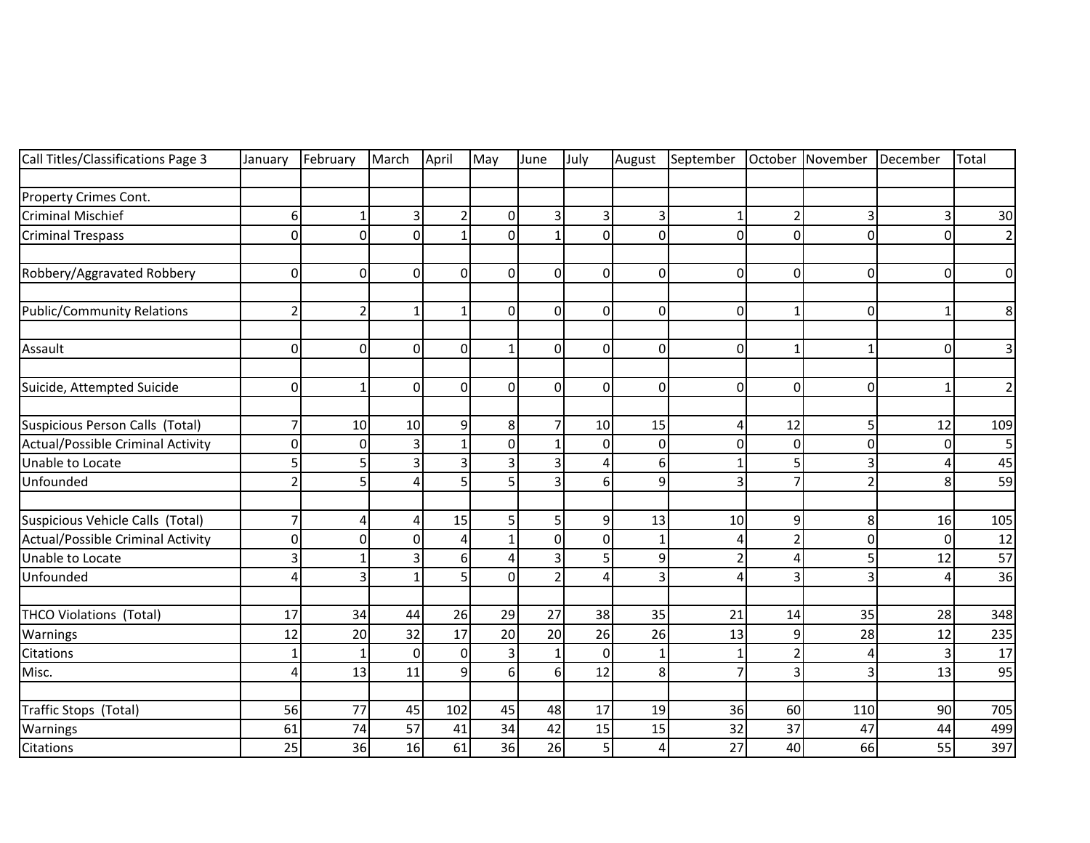| Call Titles/Classifications Page 3 | January        | February     | March                 | April        | May            | June           | July         | August         | September      | October        | November       | December     | Total          |
|------------------------------------|----------------|--------------|-----------------------|--------------|----------------|----------------|--------------|----------------|----------------|----------------|----------------|--------------|----------------|
|                                    |                |              |                       |              |                |                |              |                |                |                |                |              |                |
| Property Crimes Cont.              |                |              |                       |              |                |                |              |                |                |                |                |              |                |
| <b>Criminal Mischief</b>           | 6              |              | 3                     | 2            | $\overline{0}$ |                | 3            | $\vert$        |                | $\overline{2}$ | З              | 3            | $30\,$         |
| <b>Criminal Trespass</b>           | $\mathbf 0$    | $\Omega$     | $\Omega$              |              | $\Omega$       |                | $\Omega$     | $\overline{0}$ | $\overline{0}$ | $\Omega$       | $\Omega$       | 0            | $\overline{2}$ |
| Robbery/Aggravated Robbery         | 0              | $\Omega$     | $\Omega$              | $\Omega$     | $\Omega$       | $\Omega$       | $\Omega$     | $\overline{0}$ | $\Omega$       | $\Omega$       | $\Omega$       | 0            | $\mathbf 0$    |
| <b>Public/Community Relations</b>  | $\overline{2}$ | 2            | $\mathbf{1}$          |              | $\Omega$       | $\mathbf 0$    | 0            | $\overline{0}$ | $\mathbf 0$    | $\mathbf{1}$   | $\Omega$       | $\mathbf{1}$ | 8              |
| Assault                            | 0              | $\Omega$     | $\Omega$              | 0            | 1              | 0              | 0            | $\overline{0}$ | $\mathbf 0$    | 1              | 1              | 0            | 3              |
| Suicide, Attempted Suicide         | 0              | $\mathbf{1}$ | $\mathbf 0$           | 0            | $\Omega$       | $\Omega$       | 0            | $\overline{0}$ | $\mathbf 0$    | $\overline{0}$ | $\Omega$       | $\mathbf{1}$ | $\overline{2}$ |
| Suspicious Person Calls (Total)    | 7              | 10           | 10                    | 9            | 8 <sup>1</sup> |                | 10           | 15             | 4              | 12             | 5              | 12           | 109            |
| Actual/Possible Criminal Activity  | 0              | $\Omega$     | $\overline{3}$        |              | $\overline{0}$ |                | $\mathbf{0}$ | $\overline{0}$ | $\Omega$       | $\mathbf 0$    | $\Omega$       | 0            | 5              |
| Unable to Locate                   | 5              | 5            | 3                     | 3            | 3              | 3              | 4            | 6              |                | 5              | 3              | Δ            | 45             |
| Unfounded                          | $\overline{2}$ | 5            | 4                     | 5            | 5              | 3              | 6            | $\overline{9}$ | 3              | $\overline{7}$ | $\overline{2}$ | 8            | 59             |
| Suspicious Vehicle Calls (Total)   | 7              | Δ            | $\boldsymbol{\Delta}$ | 15           | 5              | 5              | 9            | 13             | 10             | 9              | 8              | 16           | 105            |
| Actual/Possible Criminal Activity  | 0              | $\Omega$     | $\Omega$              | Δ            | $\mathbf{1}$   | $\mathbf 0$    | $\Omega$     | $\mathbf{1}$   | Δ              | $\overline{2}$ | 0              | $\mathbf 0$  | 12             |
| Unable to Locate                   | 3              |              | 3                     | 6            | 4              |                | 5            | $\overline{9}$ | 2              | 4              | 5              | 12           | 57             |
| Unfounded                          | 4              | 3            | $\mathbf 1$           | 5            | 0              | $\overline{2}$ | 4            | $\overline{3}$ | 4              | 3              | 3              | 4            | 36             |
| <b>THCO Violations (Total)</b>     | 17             | 34           | 44                    | 26           | 29             | 27             | 38           | 35             | 21             | 14             | 35             | 28           | 348            |
| Warnings                           | 12             | 20           | 32                    | 17           | 20             | 20             | 26           | 26             | 13             | 9              | 28             | 12           | 235            |
| Citations                          | $\mathbf{1}$   |              | $\Omega$              | $\mathbf 0$  | 3              | $\mathbf{1}$   | $\Omega$     | $\mathbf{1}$   |                | $\overline{2}$ | Δ              | 3            | 17             |
| Misc.                              | 4              | 13           | 11                    | $\mathbf{q}$ | 6 <sup>1</sup> | $6 \mid$       | 12           | 8              | $\overline{7}$ | 3              | 3              | 13           | 95             |
| Traffic Stops (Total)              | 56             | 77           | 45                    | 102          | 45             | 48             | 17           | 19             | 36             | 60             | 110            | 90           | 705            |
| Warnings                           | 61             | 74           | 57                    | 41           | 34             | 42             | 15           | 15             | 32             | 37             | 47             | 44           | 499            |
| Citations                          | 25             | 36           | 16                    | 61           | 36             | 26             | 5            | 4              | 27             | 40             | 66             | 55           | 397            |